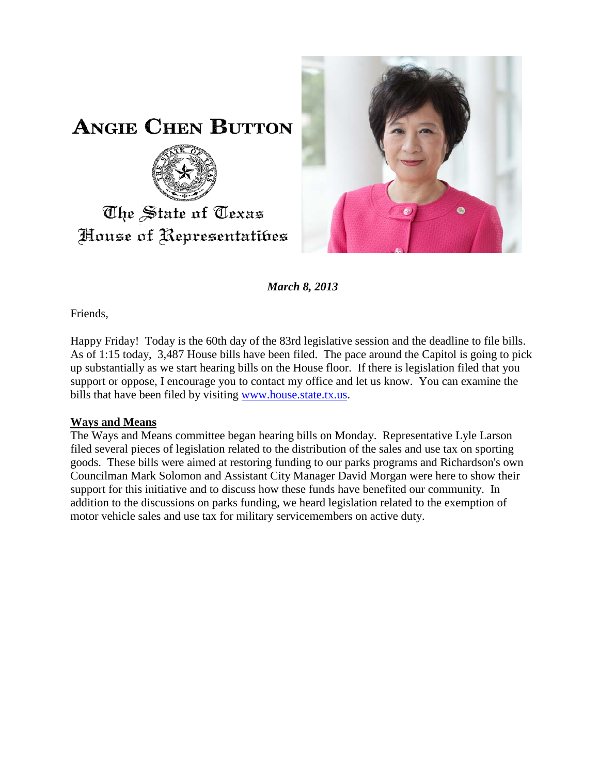

**ANGIE CHEN BUTTON** 



# The State of Texas House of Representatibes

*March 8, 2013*

Friends,

Happy Friday! Today is the 60th day of the 83rd legislative session and the deadline to file bills. As of 1:15 today, 3,487 House bills have been filed. The pace around the Capitol is going to pick up substantially as we start hearing bills on the House floor. If there is legislation filed that you support or oppose, I encourage you to contact my office and let us know. You can examine the bills that have been filed by visiting [www.house.state.tx.us.](http://www.house.state.tx.us/)

## **Ways and Means**

The Ways and Means committee began hearing bills on Monday. Representative Lyle Larson filed several pieces of legislation related to the distribution of the sales and use tax on sporting goods. These bills were aimed at restoring funding to our parks programs and Richardson's own Councilman Mark Solomon and Assistant City Manager David Morgan were here to show their support for this initiative and to discuss how these funds have benefited our community. In addition to the discussions on parks funding, we heard legislation related to the exemption of motor vehicle sales and use tax for military servicemembers on active duty.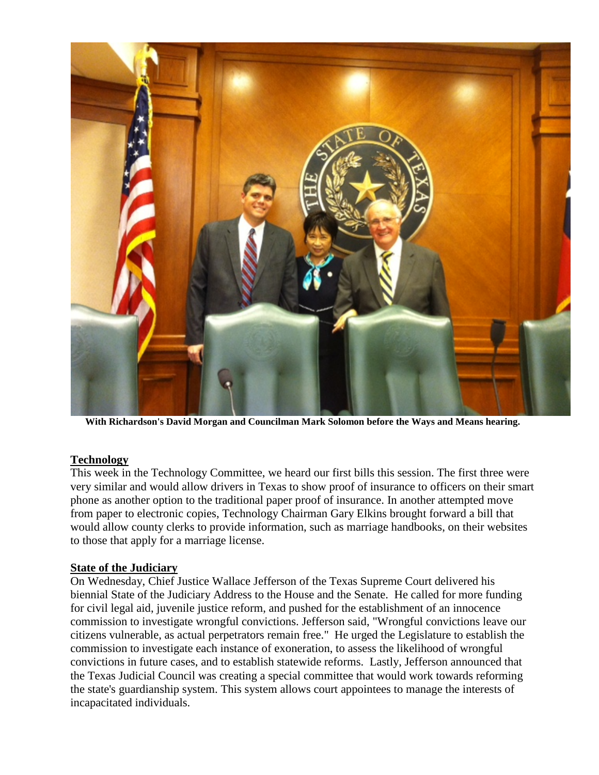

**With Richardson's David Morgan and Councilman Mark Solomon before the Ways and Means hearing.** 

#### **Technology**

This week in the Technology Committee, we heard our first bills this session. The first three were very similar and would allow drivers in Texas to show proof of insurance to officers on their smart phone as another option to the traditional paper proof of insurance. In another attempted move from paper to electronic copies, Technology Chairman Gary Elkins brought forward a bill that would allow county clerks to provide information, such as marriage handbooks, on their websites to those that apply for a marriage license.

#### **State of the Judiciary**

On Wednesday, Chief Justice Wallace Jefferson of the Texas Supreme Court delivered his biennial State of the Judiciary Address to the House and the Senate. He called for more funding for civil legal aid, juvenile justice reform, and pushed for the establishment of an innocence commission to investigate wrongful convictions. Jefferson said, "Wrongful convictions leave our citizens vulnerable, as actual perpetrators remain free." He urged the Legislature to establish the commission to investigate each instance of exoneration, to assess the likelihood of wrongful convictions in future cases, and to establish statewide reforms. Lastly, Jefferson announced that the Texas Judicial Council was creating a special committee that would work towards reforming the state's guardianship system. This system allows court appointees to manage the interests of incapacitated individuals.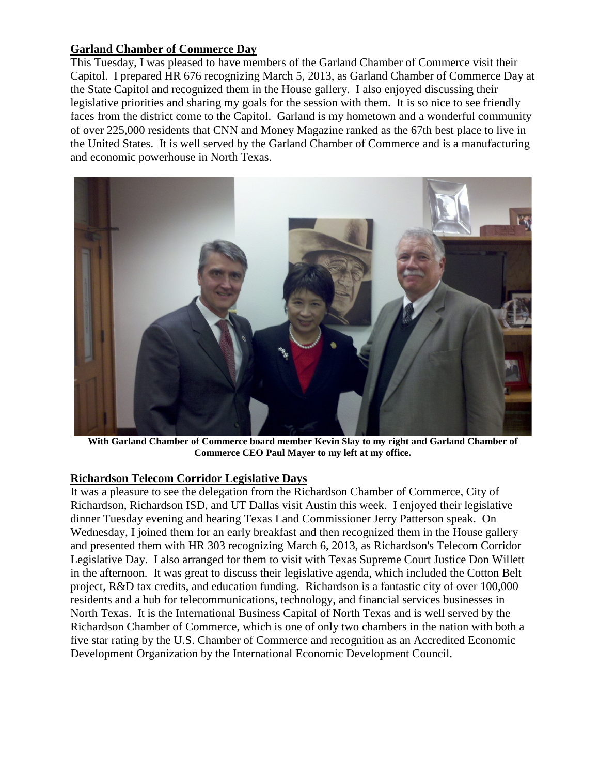### **Garland Chamber of Commerce Day**

This Tuesday, I was pleased to have members of the Garland Chamber of Commerce visit their Capitol. I prepared HR 676 recognizing March 5, 2013, as Garland Chamber of Commerce Day at the State Capitol and recognized them in the House gallery. I also enjoyed discussing their legislative priorities and sharing my goals for the session with them. It is so nice to see friendly faces from the district come to the Capitol. Garland is my hometown and a wonderful community of over 225,000 residents that CNN and Money Magazine ranked as the 67th best place to live in the United States. It is well served by the Garland Chamber of Commerce and is a manufacturing and economic powerhouse in North Texas.



**With Garland Chamber of Commerce board member Kevin Slay to my right and Garland Chamber of Commerce CEO Paul Mayer to my left at my office.**

#### **Richardson Telecom Corridor Legislative Days**

It was a pleasure to see the delegation from the Richardson Chamber of Commerce, City of Richardson, Richardson ISD, and UT Dallas visit Austin this week. I enjoyed their legislative dinner Tuesday evening and hearing Texas Land Commissioner Jerry Patterson speak. On Wednesday, I joined them for an early breakfast and then recognized them in the House gallery and presented them with HR 303 recognizing March 6, 2013, as Richardson's Telecom Corridor Legislative Day. I also arranged for them to visit with Texas Supreme Court Justice Don Willett in the afternoon. It was great to discuss their legislative agenda, which included the Cotton Belt project, R&D tax credits, and education funding. Richardson is a fantastic city of over 100,000 residents and a hub for telecommunications, technology, and financial services businesses in North Texas. It is the International Business Capital of North Texas and is well served by the Richardson Chamber of Commerce, which is one of only two chambers in the nation with both a five star rating by the U.S. Chamber of Commerce and recognition as an Accredited Economic Development Organization by the International Economic Development Council.